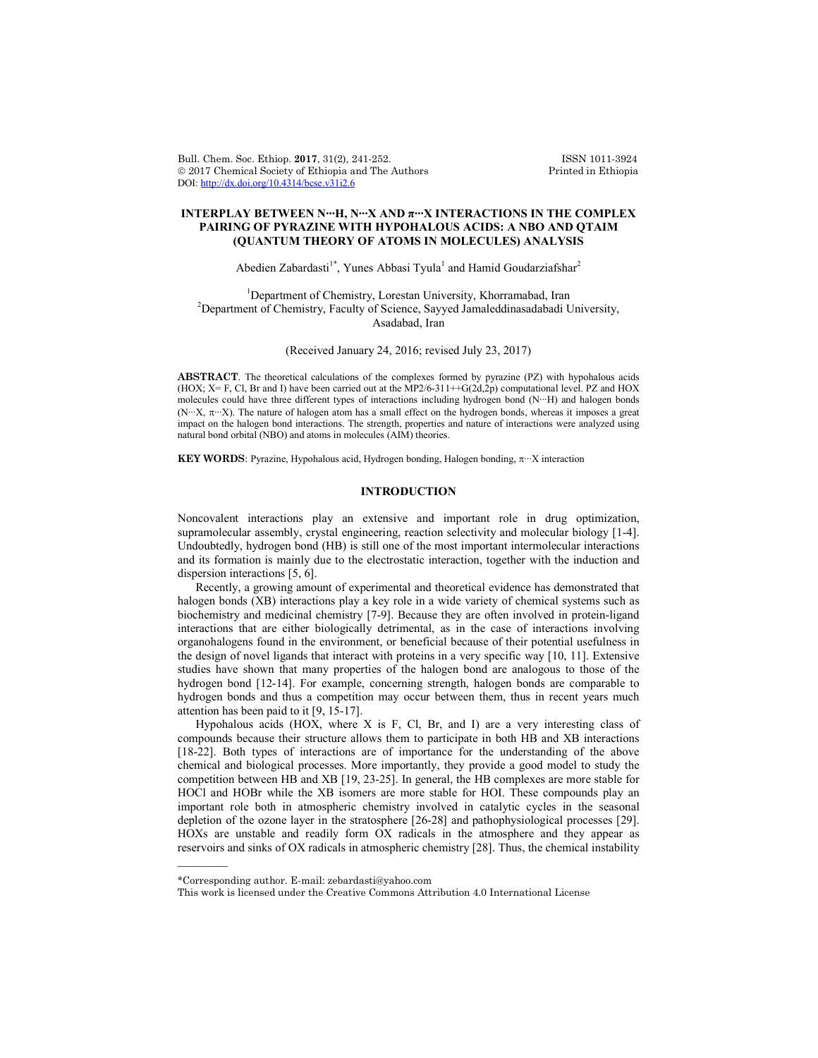Bull. Chem. Soc. Ethiop. 2017, 31(2), 241-252. **ISSN 1011-3924**<br>
© 2017 Chemical Society of Ethiopia and The Authors Printed in Ethiopia  $© 2017 Chemical Society of Ethiopia and The Authors$ DOI: http://dx.doi.org/10.4314/bcse.v31i2.6

## **INTERPLAY BETWEEN N∙∙∙H, N∙∙∙X AND π∙∙∙X INTERACTIONS IN THE COMPLEX PAIRING OF PYRAZINE WITH HYPOHALOUS ACIDS: A NBO AND QTAIM (QUANTUM THEORY OF ATOMS IN MOLECULES) ANALYSIS**

Abedien Zabardasti<sup>1\*</sup>, Yunes Abbasi Tyula<sup>1</sup> and Hamid Goudarziafshar<sup>2</sup>

<sup>1</sup> Department of Chemistry, Lorestan University, Khorramabad, Iran <sup>2</sup> Department of Chemistry, Equality of Sejange, Seyued Jamaladdinesedebadi I <sup>2</sup>Department of Chemistry, Faculty of Science, Sayyed Jamaleddinasadabadi University, Asadabad, Iran

(Received January 24, 2016; revised July 23, 2017)

**ABSTRACT**. The theoretical calculations of the complexes formed by pyrazine (PZ) with hypohalous acids (HOX;  $X = F$ , Cl, Br and I) have been carried out at the MP2/6-311++G(2d,2p) computational level. PZ and HOX molecules could have three different types of interactions including hydrogen bond (N∙∙∙H) and halogen bonds (N∙∙∙X, ∙∙∙X). The nature of halogen atom has a small effect on the hydrogen bonds, whereas it imposes a great impact on the halogen bond interactions. The strength, properties and nature of interactions were analyzed using natural bond orbital (NBO) and atoms in molecules (AIM) theories.

KEY WORDS: Pyrazine, Hypohalous acid, Hydrogen bonding, Halogen bonding,  $\pi$ <sup>∙</sup>⋅ X interaction

# **INTRODUCTION**

Noncovalent interactions play an extensive and important role in drug optimization, supramolecular assembly, crystal engineering, reaction selectivity and molecular biology [1-4]. Undoubtedly, hydrogen bond (HB) is still one of the most important intermolecular interactions and its formation is mainly due to the electrostatic interaction, together with the induction and dispersion interactions [5, 6].

Recently, a growing amount of experimental and theoretical evidence has demonstrated that halogen bonds (XB) interactions play a key role in a wide variety of chemical systems such as biochemistry and medicinal chemistry [7-9]. Because they are often involved in protein-ligand interactions that are either biologically detrimental, as in the case of interactions involving organohalogens found in the environment, or beneficial because of their potential usefulness in the design of novel ligands that interact with proteins in a very specific way [10, 11]. Extensive studies have shown that many properties of the halogen bond are analogous to those of the hydrogen bond [12-14]. For example, concerning strength, halogen bonds are comparable to hydrogen bonds and thus a competition may occur between them, thus in recent years much attention has been paid to it [9, 15-17].

Hypohalous acids (HOX, where X is F, Cl, Br, and I) are a very interesting class of compounds because their structure allows them to participate in both HB and XB interactions [18-22]. Both types of interactions are of importance for the understanding of the above chemical and biological processes. More importantly, they provide a good model to study the competition between HB and XB [19, 23-25]. In general, the HB complexes are more stable for HOCl and HOBr while the XB isomers are more stable for HOI. These compounds play an important role both in atmospheric chemistry involved in catalytic cycles in the seasonal depletion of the ozone layer in the stratosphere [26-28] and pathophysiological processes [29]. HOXs are unstable and readily form OX radicals in the atmosphere and they appear as reservoirs and sinks of OX radicals in atmospheric chemistry [28]. Thus, the chemical instability

 $\overline{\phantom{a}}$ 

<sup>\*</sup>Corresponding author. E-mail: zebardasti@yahoo.com

This work is licensed under the Creative Commons Attribution 4.0 International License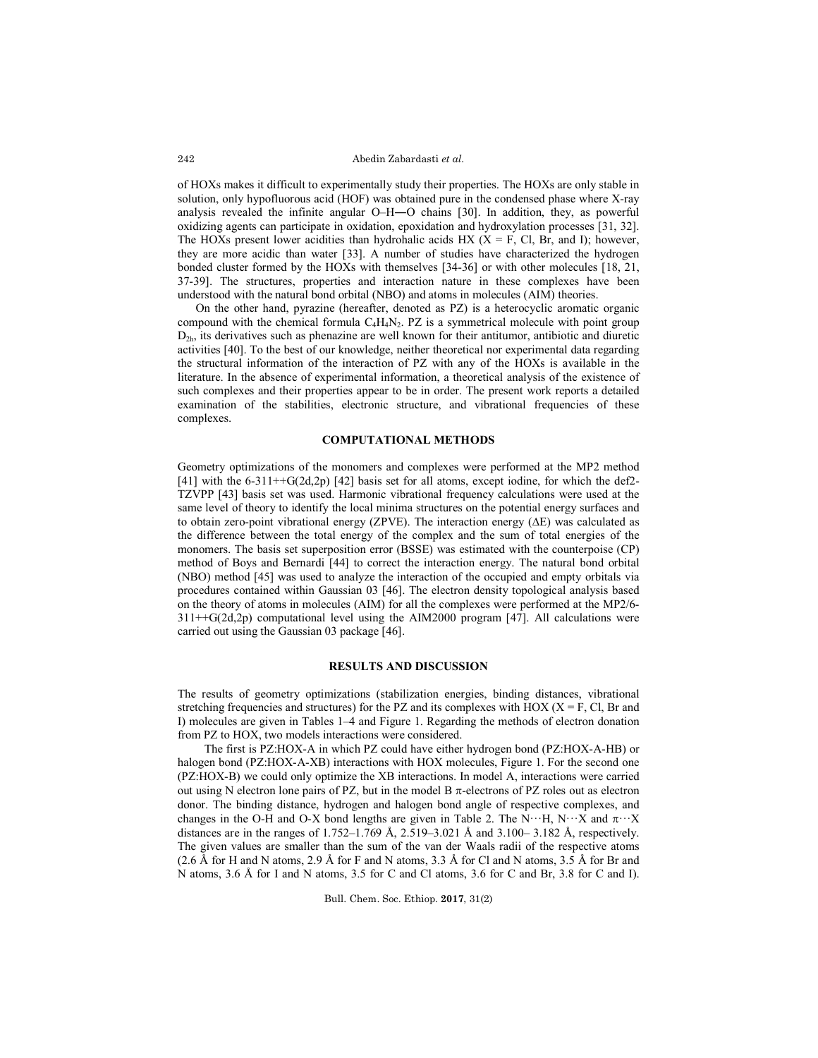of HOXs makes it difficult to experimentally study their properties. The HOXs are only stable in solution, only hypofluorous acid (HOF) was obtained pure in the condensed phase where X-ray analysis revealed the infinite angular O–H―O chains [30]. In addition, they, as powerful oxidizing agents can participate in oxidation, epoxidation and hydroxylation processes [31, 32]. The HOXs present lower acidities than hydrohalic acids HX ( $X = F$ , Cl, Br, and I); however, they are more acidic than water [33]. A number of studies have characterized the hydrogen bonded cluster formed by the HOXs with themselves [34-36] or with other molecules [18, 21, 37-39]. The structures, properties and interaction nature in these complexes have been understood with the natural bond orbital (NBO) and atoms in molecules (AIM) theories.

On the other hand, pyrazine (hereafter, denoted as PZ) is a heterocyclic aromatic organic compound with the chemical formula  $C_4H_4N_2$ . PZ is a symmetrical molecule with point group  $D_{2h}$ , its derivatives such as phenazine are well known for their antitumor, antibiotic and diuretic activities [40]. To the best of our knowledge, neither theoretical nor experimental data regarding the structural information of the interaction of PZ with any of the HOXs is available in the literature. In the absence of experimental information, a theoretical analysis of the existence of such complexes and their properties appear to be in order. The present work reports a detailed examination of the stabilities, electronic structure, and vibrational frequencies of these complexes.

### **COMPUTATIONAL METHODS**

Geometry optimizations of the monomers and complexes were performed at the MP2 method  $[41]$  with the 6-311++G(2d,2p) [42] basis set for all atoms, except iodine, for which the def2-TZVPP [43] basis set was used. Harmonic vibrational frequency calculations were used at the same level of theory to identify the local minima structures on the potential energy surfaces and to obtain zero-point vibrational energy (ZPVE). The interaction energy (∆E) was calculated as the difference between the total energy of the complex and the sum of total energies of the monomers. The basis set superposition error (BSSE) was estimated with the counterpoise (CP) method of Boys and Bernardi [44] to correct the interaction energy. The natural bond orbital (NBO) method [45] was used to analyze the interaction of the occupied and empty orbitals via procedures contained within Gaussian 03 [46]. The electron density topological analysis based on the theory of atoms in molecules (AIM) for all the complexes were performed at the MP2/6-  $311++G(2d,2p)$  computational level using the AIM2000 program [47]. All calculations were carried out using the Gaussian 03 package [46].

#### **RESULTS AND DISCUSSION**

The results of geometry optimizations (stabilization energies, binding distances, vibrational stretching frequencies and structures) for the PZ and its complexes with HOX ( $X = F$ , Cl, Br and I) molecules are given in Tables 1–4 and Figure 1. Regarding the methods of electron donation from PZ to HOX, two models interactions were considered.

The first is PZ:HOX-A in which PZ could have either hydrogen bond (PZ:HOX-A-HB) or halogen bond (PZ:HOX-A-XB) interactions with HOX molecules, Figure 1. For the second one (PZ:HOX-B) we could only optimize the XB interactions. In model A, interactions were carried out using N electron lone pairs of PZ, but in the model B  $\pi$ -electrons of PZ roles out as electron donor. The binding distance, hydrogen and halogen bond angle of respective complexes, and changes in the O-H and O-X bond lengths are given in Table 2. The N $\cdots$ H, N $\cdots$ X and  $\pi$  $\cdots$ X distances are in the ranges of  $1.752 - 1.769$  Å,  $2.519 - 3.021$  Å and  $3.100 - 3.182$  Å, respectively. The given values are smaller than the sum of the van der Waals radii of the respective atoms  $(2.6 \text{ Å}$  for H and N atoms,  $2.9 \text{ Å}$  for F and N atoms,  $3.3 \text{ Å}$  for Cl and N atoms,  $3.5 \text{ Å}$  for Br and N atoms, 3.6 Å for I and N atoms, 3.5 for C and Cl atoms, 3.6 for C and Br, 3.8 for C and I).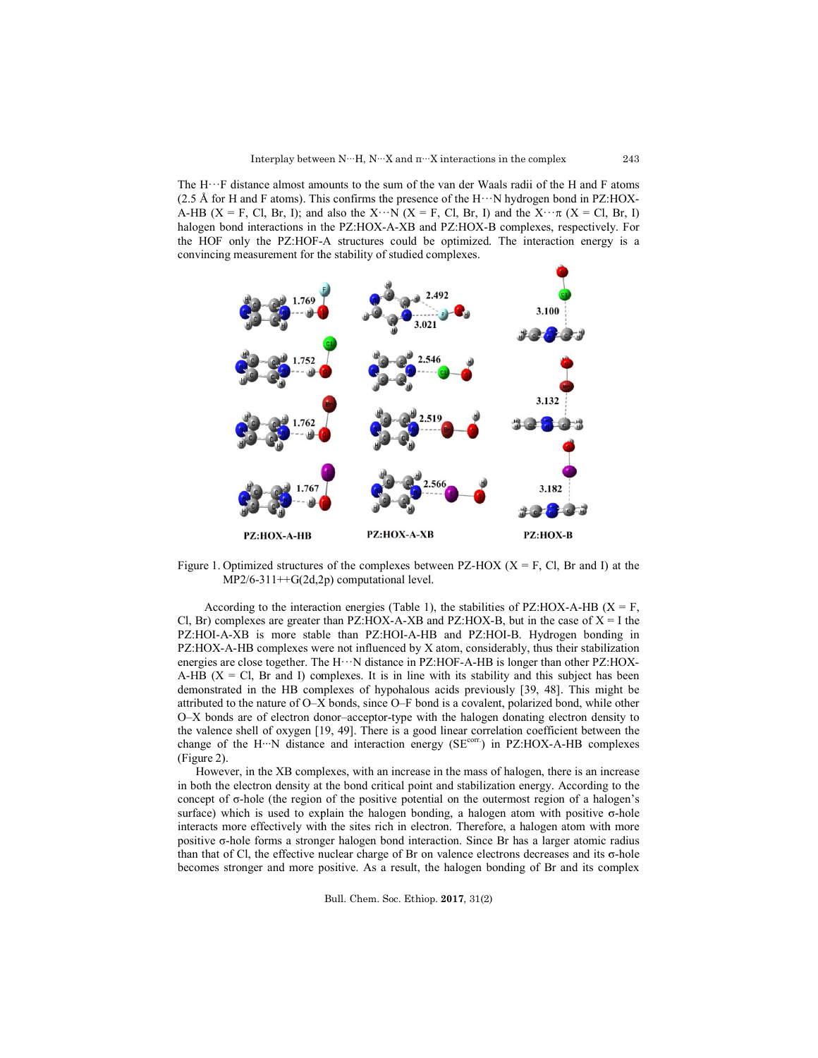The H···F distance almost amounts to the sum of the van der Waals radii of the H and F atoms The H $\cdots$ F distance almost amounts to the sum of the van der Waals radii of the H and F atoms (2.5 Å for H and F atoms). This confirms the presence of the H $\cdots$ N hydrogen bond in PZ:HOX-A-HB (X = F, Cl, Br, I); and also the X···N (X = F, Cl, Br, I) and the X··· $\pi$  (X = Cl, Br, I) halogen bond interactions in the PZ:HOX-A-XB and PZ:HOX-B complexes, respectively. For the HOF only the PZ:HOF-A structures could be optimized. The interaction energy is a convincing measurement for the stability of studied complexes.



Figure 1. Optimized structures of the complexes between PZ-HOX  $(X = F, C I, Br and I)$  at the MP2/6-311++G(2d,2p) computational level.

 $MP2/6-311++G(2d,2p)$  computational level.<br>According to the interaction energies (Table 1), the stabilities of PZ:HOX-A-HB (X Cl, Br) complexes are greater than  $PZ:HOX-A-XB$  and  $PZ:HOX-B$ , but in the case of  $X = I$  the PZ:HOI-A-XB is more stable than PZ:HOI-A-HB and PZ:HOI-B. Hydrogen bonding in PZ:HOX-A-HB complexes were not influenced by X atom, considerably, thus their stabilization PZ:HOI-A-XB is more stable than PZ:HOI-A-HB and PZ:HOI-B. Hydrogen bonding in PZ:HOX-A-HB complexes were not influenced by X atom, considerably, thus their stabilization energies are close together. The H···N distance in P A-HB ( $X = Cl$ , Br and I) complexes. It is in line with its stability and this subject has been demonstrated in the HB complexes of hypohalous acids previously [39, 48]. This might be attributed to the nature of O–X bonds, since O–F bond is a covalent, polarized bond, while other O-X bonds are of electron donor-acceptor-type with the halogen donating electron density to the valence shell of oxygen [19, 49]. There is a good linear correlation coefficient between the change of the H…N distance and interaction energy (SE<sup>corr.</sup>) in PZ:HOX-A-HB complexes (Figure 2).  $K = \text{Cl}$ , Br and I) complexes. It is in line with its stability and this subject has been ated in the HB complexes of hypohalous acids previously [39, 48]. This might be to the nature of O-X bonds, since O-F bond is a c

However, in the XB complexes, with an increase in the mass of halogen, there is an increase in both the electron density at the bond critical point and stabilization energy. According to the However, in the XB complexes, with an increase in the mass of halogen, there is an increase in both the electron density at the bond critical point and stabilization energy. According to the concept of  $\sigma$ -hole (the regi surface) which is used to explain the halogen bonding, a halogen atom with positive σ interacts more effectively with the sites rich in electron. Therefore, a halogen atom with more interacts more effectively with the sites rich in electron. Therefore, a halogen atom with more positive σ-hole forms a stronger halogen bond interaction. Since Br has a larger atomic radius than that of Cl, the effectiv than that of Cl, the effective nuclear charge of Br on valence electrons decreases and its  $\sigma$ -hole becomes stronger and more positive. As a result, the halogen bonding of Br and its complex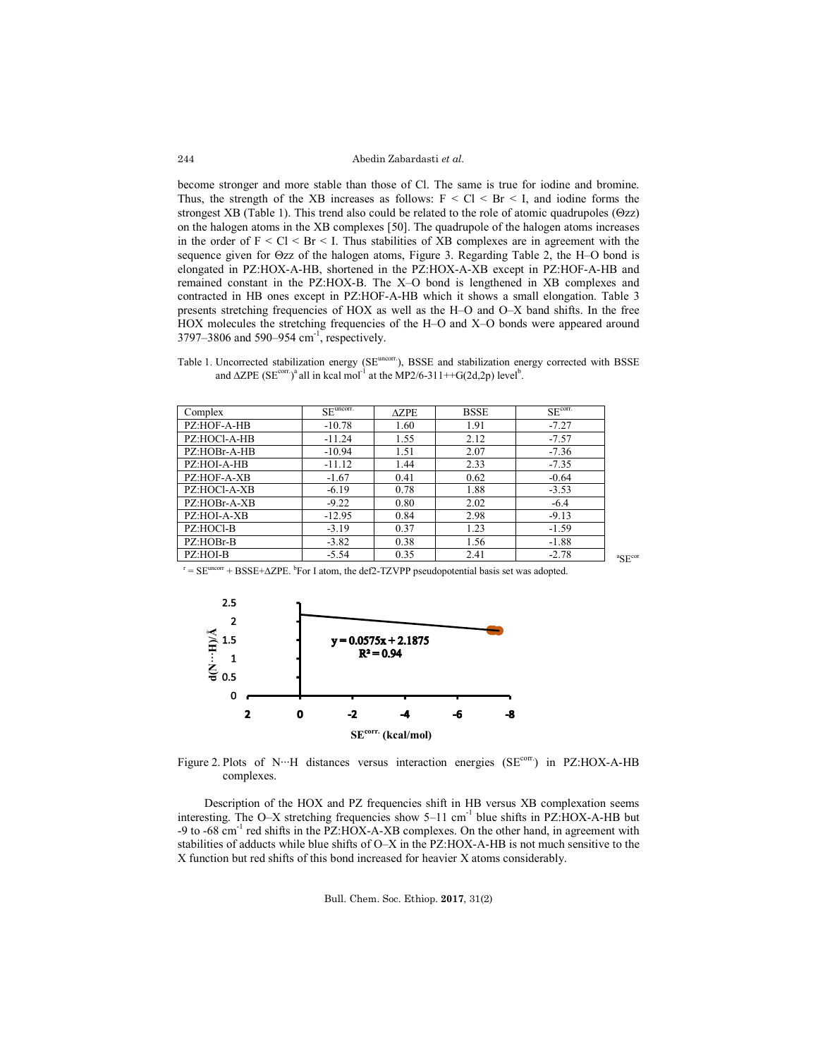become stronger and more stable than those of Cl. The same is true for iodine and bromine. Thus, the strength of the XB increases as follows:  $F < CI < Br < I$ , and iodine forms the strongest XB (Table 1). This trend also could be related to the role of atomic quadrupoles ( $\Theta$ zz) on the halogen atoms in the XB complexes [50]. The quadrupole of the halogen atoms increases in the order of  $F < CI < Br < I$ . Thus stabilities of XB complexes are in agreement with the sequence given for  $\Theta$ zz of the halogen atoms, Figure 3. Regarding Table 2, the H–O bond is elongated in PZ:HOX-A-HB, shortened in the PZ:HOX-A-XB except in PZ:HOF-A-HB and remained constant in the PZ:HOX-B. The X–O bond is lengthened in XB complexes and contracted in HB ones except in PZ:HOF-A-HB which it shows a small elongation. Table 3 presents stretching frequencies of HOX as well as the H–O and O–X band shifts. In the free HOX molecules the stretching frequencies of the H–O and X–O bonds were appeared around 3797–3806 and 590–954 cm<sup>-1</sup>, respectively.

Table 1. Uncorrected stabilization energy (SE<sup>uncorr</sup>), BSSE and stabilization energy corrected with BSSE and  $\triangle ZPE$  (SE<sup>corr.</sup>)<sup>a</sup> all in kcal mol<sup>-1</sup> at the MP2/6-311++G(2d,2p) level<sup>b</sup>.

| Complex      | $SEuncorr$ . | $\triangle ZPE$ | <b>BSSE</b> | SE <sup>corr</sup> |
|--------------|--------------|-----------------|-------------|--------------------|
| PZ:HOF-A-HB  | $-10.78$     | 1.60            | 1.91        | $-7.27$            |
| PZ:HOCl-A-HB | $-11.24$     | 1.55            | 2.12        | $-7.57$            |
| PZ:HOBr-A-HB | $-10.94$     | 1.51            | 2.07        | $-7.36$            |
| PZ:HOI-A-HB  | $-11.12$     | 1.44            | 2.33        | $-7.35$            |
| PZ:HOF-A-XB  | $-1.67$      | 0.41            | 0.62        | $-0.64$            |
| PZ:HOCl-A-XB | $-6.19$      | 0.78            | 1.88        | $-3.53$            |
| PZ:HOBr-A-XB | $-9.22$      | 0.80            | 2.02        | $-6.4$             |
| PZ:HOI-A-XB  | $-12.95$     | 0.84            | 2.98        | $-9.13$            |
| PZ:HOCl-B    | $-3.19$      | 0.37            | 1.23        | $-1.59$            |
| PZ:HOBr-B    | $-3.82$      | 0.38            | 1.56        | $-1.88$            |
| PZ:HOI-B     | $-5.54$      | 0.35            | 2.41        | $-2.78$            |

 ${}^{\text{a}}\text{SE}^{\text{cor}}$ 

 $T = SE^{uncorr} + BSSE + \Delta ZPE$ . <sup>b</sup>For I atom, the def2-TZVPP pseudopotential basis set was adopted.



Figure 2. Plots of N…H distances versus interaction energies (SE<sup>corr.</sup>) in PZ:HOX-A-HB complexes.

Description of the HOX and PZ frequencies shift in HB versus XB complexation seems interesting. The O–X stretching frequencies show  $5-11$  cm<sup>-1</sup> blue shifts in PZ:HOX-A-HB but -9 to -68 cm<sup>-1</sup> red shifts in the PZ:HOX-A-XB complexes. On the other hand, in agreement with stabilities of adducts while blue shifts of O–X in the PZ:HOX-A-HB is not much sensitive to the X function but red shifts of this bond increased for heavier X atoms considerably.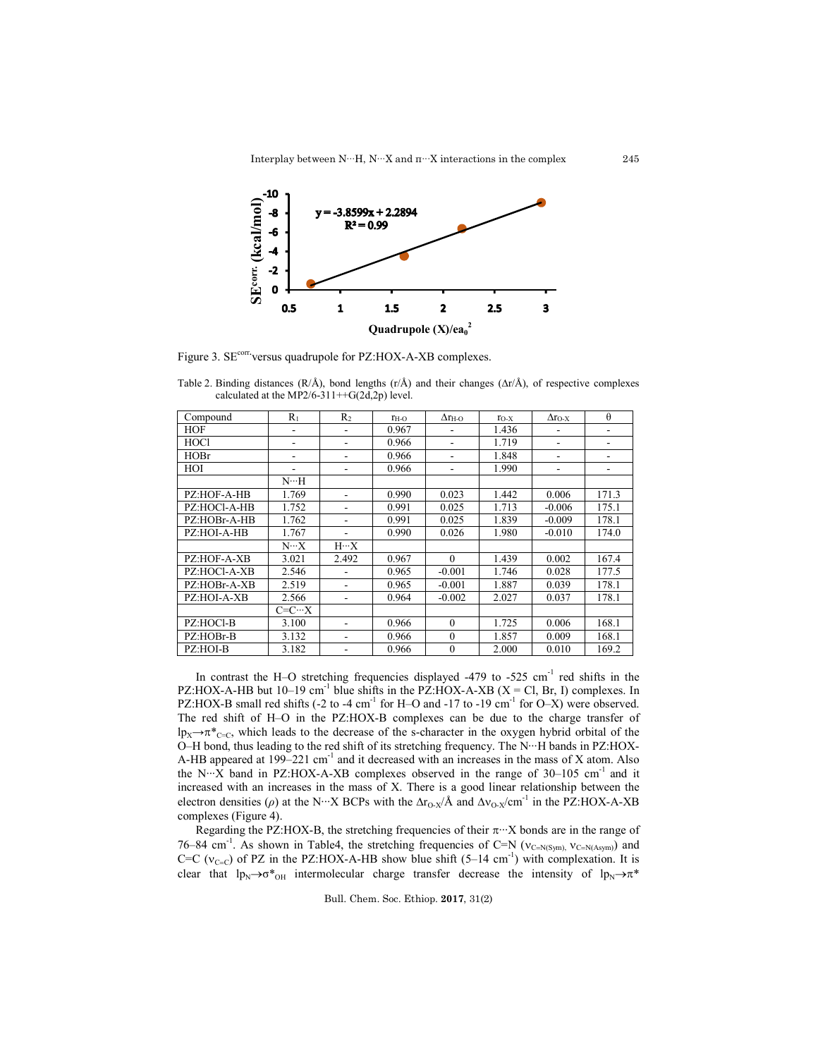Interplay between N∙∙∙H, N∙∙∙X and π∙∙∙X interactions in the complex



Figure 3. SE<sup>corr</sup> versus quadrupole for PZ:HOX-A-XB complexes.

| Compound     | $R_1$          | R <sub>2</sub> | $r_{H-O}$ | $\Delta r_{\rm H-O}$ | $r_{O-X}$ | $\Delta r_{O-X}$ | $\theta$ |
|--------------|----------------|----------------|-----------|----------------------|-----------|------------------|----------|
| HOF          |                |                | 0.967     |                      | 1.436     |                  |          |
| <b>HOCl</b>  | -              |                | 0.966     | ۰                    | 1.719     | ۰                |          |
| <b>HOBr</b>  |                |                | 0.966     | ۰                    | 1.848     | ۰                |          |
| HOI          |                |                | 0.966     | ۰                    | 1.990     | ۰                |          |
|              | N…H            |                |           |                      |           |                  |          |
| PZ:HOF-A-HB  | 1.769          |                | 0.990     | 0.023                | 1.442     | 0.006            | 171.3    |
| PZ:HOCl-A-HB | 1.752          |                | 0.991     | 0.025                | 1.713     | $-0.006$         | 175.1    |
| PZ:HOBr-A-HB | 1.762          | ۰              | 0.991     | 0.025                | 1.839     | $-0.009$         | 178.1    |
| PZ:HOI-A-HB  | 1.767          | ۰              | 0.990     | 0.026                | 1.980     | $-0.010$         | 174.0    |
|              | $N \cdots X$   | $H \cdots X$   |           |                      |           |                  |          |
| PZ:HOF-A-XB  | 3.021          | 2.492          | 0.967     | $\theta$             | 1.439     | 0.002            | 167.4    |
| PZ:HOCl-A-XB | 2.546          |                | 0.965     | $-0.001$             | 1.746     | 0.028            | 177.5    |
| PZ:HOBr-A-XB | 2.519          |                | 0.965     | $-0.001$             | 1.887     | 0.039            | 178.1    |
| PZ:HOI-A-XB  | 2.566          |                | 0.964     | $-0.002$             | 2.027     | 0.037            | 178.1    |
|              | $C=C \cdots X$ |                |           |                      |           |                  |          |
| PZ:HOCl-B    | 3.100          | ۰              | 0.966     | $\theta$             | 1.725     | 0.006            | 168.1    |
| PZ:HOBr-B    | 3.132          |                | 0.966     | $\theta$             | 1.857     | 0.009            | 168.1    |
| PZ:HOI-B     | 3.182          |                | 0.966     | $\theta$             | 2.000     | 0.010            | 169.2    |

Table 2. Binding distances ( $R/\text{\AA}$ ), bond lengths (r/Å) and their changes ( $\Delta r/\text{\AA}$ ), of respective complexes calculated at the MP2/6-311++G(2d,2p) level.

In contrast the H–O stretching frequencies displayed -479 to -525 cm<sup>-1</sup> red shifts in the PZ:HOX-A-HB but 10–19 cm<sup>-1</sup> blue shifts in the PZ:HOX-A-XB (X = Cl, Br, I) complexes. In PZ:HOX-B small red shifts (-2 to -4 cm<sup>-1</sup> for H–O and -17 to -19 cm<sup>-1</sup> for O–X) were observed. The red shift of H–O in the PZ:HOX-B complexes can be due to the charge transfer of  $lp_X \rightarrow \pi^*_{C=C}$ , which leads to the decrease of the s-character in the oxygen hybrid orbital of the O–H bond, thus leading to the red shift of its stretching frequency. The N∙∙∙H bands in PZ:HOX-A-HB appeared at  $199-221$  cm<sup>-1</sup> and it decreased with an increases in the mass of X atom. Also the N∙∙∙X band in PZ:HOX-A-XB complexes observed in the range of 30–105 cm-1 and it increased with an increases in the mass of X. There is a good linear relationship between the electron densities ( $\rho$ ) at the N⋅⋅⋅X BCPs with the  $\Delta r_{O-X}/\hat{A}$  and  $\Delta v_{O-X}/\text{cm}^{-1}$  in the PZ:HOX-A-XB complexes (Figure 4).

Regarding the PZ:HOX-B, the stretching frequencies of their  $\pi$ <sup>∙</sup>⋅⋅ X bonds are in the range of 76–84 cm<sup>-1</sup>. As shown in Table4, the stretching frequencies of C=N ( $v_{C=N(Sym)}$ ,  $v_{C=N(Asym)})$  and C=C ( $v_{C=C}$ ) of PZ in the PZ:HOX-A-HB show blue shift (5–14 cm<sup>-1</sup>) with complexation. It is clear that  $lp_N \rightarrow \sigma^*_{OH}$  intermolecular charge transfer decrease the intensity of  $lp_N \rightarrow \pi^*$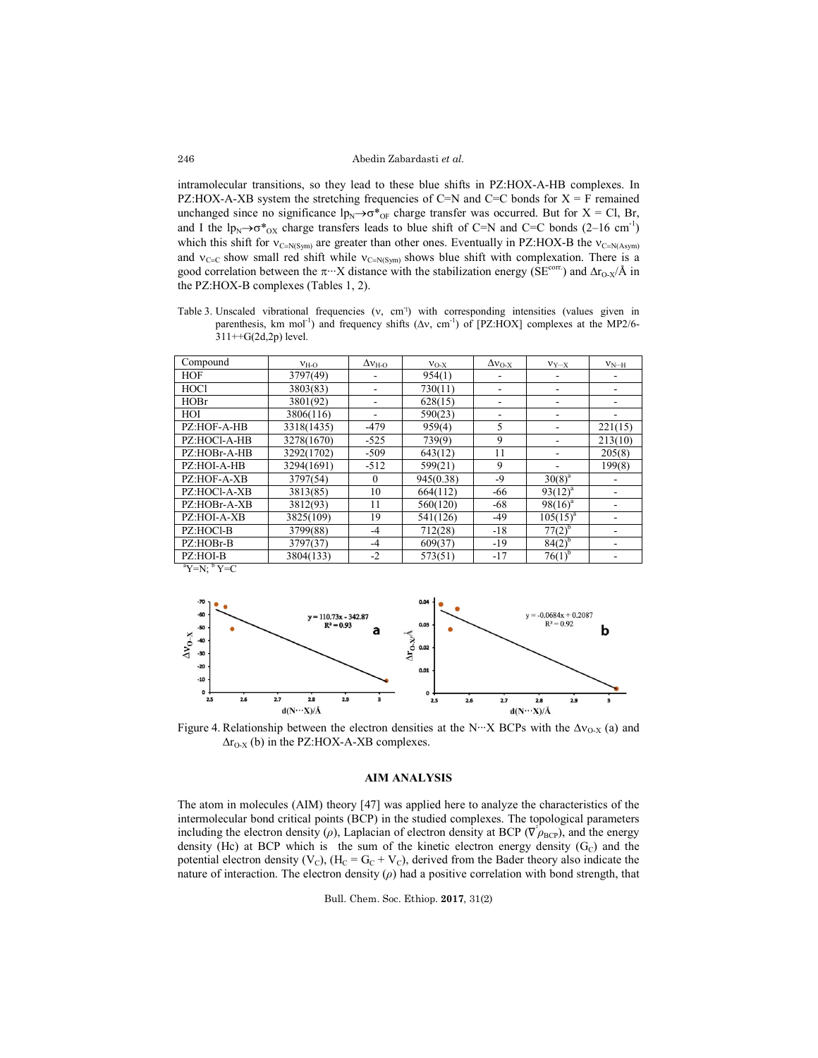intramolecular transitions, so they lead to these blue shifts in PZ:HOX-A-HB complexes. In PZ:HOX-A-XB system the stretching frequencies of C=N and C=C bonds for  $X = F$  remained unchanged since no significance  $lp_N \rightarrow \sigma^*_{0F}$  charge transfer was occurred. But for X = Cl, Br, and I the  $lp_N \rightarrow \sigma^*_{OX}$  charge transfers leads to blue shift of C=N and C=C bonds (2–16 cm<sup>-1</sup>) which this shift for  $v_{C=N(Sym)}$  are greater than other ones. Eventually in PZ:HOX-B the  $v_{C=N(Asym)}$ and  $v_{C=C}$  show small red shift while  $v_{C=N(Sym)}$  shows blue shift with complexation. There is a good correlation between the  $\pi$ <sup>∙</sup>⋅∙X distance with the stabilization energy (SE<sup>corr.</sup>) and  $\Delta r_{O-X}/\text{\AA}$  in the PZ:HOX-B complexes (Tables 1, 2).

Table 3. Unscaled vibrational frequencies (v, cm<sup>-1</sup>) with corresponding intensities (values given in parenthesis, km mol<sup>-1</sup>) and frequency shifts  $(\Delta v, \text{ cm}^{-1})$  of [PZ:HOX] complexes at the MP2/6- $311++G(2d,2p)$  level.

| Compound     | $v_{H-O}$  | $\Delta v_{\text{H-O}}$ | $V_{O-X}$ | $\Delta v_{O-X}$ | $V_{Y\cdots X}$ | $V_{N\cdots H}$ |
|--------------|------------|-------------------------|-----------|------------------|-----------------|-----------------|
| <b>HOF</b>   | 3797(49)   |                         | 954(1)    |                  |                 |                 |
| <b>HOCl</b>  | 3803(83)   |                         | 730(11)   | ۰                |                 |                 |
| HOBr         | 3801(92)   |                         | 628(15)   |                  |                 |                 |
| HOI          | 3806(116)  |                         | 590(23)   |                  |                 |                 |
| PZ:HOF-A-HB  | 3318(1435) | $-479$                  | 959(4)    | 5                |                 | 221(15)         |
| PZ:HOCI-A-HB | 3278(1670) | $-525$                  | 739(9)    | 9                |                 | 213(10)         |
| PZ:HOBr-A-HB | 3292(1702) | $-509$                  | 643(12)   | 11               |                 | 205(8)          |
| PZ:HOI-A-HB  | 3294(1691) | $-512$                  | 599(21)   | 9                |                 | 199(8)          |
| PZ:HOF-A-XB  | 3797(54)   | $\theta$                | 945(0.38) | $-9$             | $30(8)^{a}$     |                 |
| PZ:HOCl-A-XB | 3813(85)   | 10                      | 664(112)  | -66              | $93(12)^{a}$    |                 |
| PZ:HOBr-A-XB | 3812(93)   | 11                      | 560(120)  | -68              | $98(16)^a$      |                 |
| PZ:HOI-A-XB  | 3825(109)  | 19                      | 541(126)  | $-49$            | $105(15)^{a}$   |                 |
| PZ:HOCl-B    | 3799(88)   | $-4$                    | 712(28)   | $-18$            | $77(2)^{b}$     |                 |
| PZ:HOBr-B    | 3797(37)   | $-4$                    | 609(37)   | $-19$            | $84(2)^{6}$     |                 |
| PZ:HOI-B     | 3804(133)  | $-2$                    | 573(51)   | $-17$            | $76(1)^{b}$     |                 |





Figure 4. Relationship between the electron densities at the N⋅⋅⋅ X BCPs with the  $\Delta v_{O-X}$  (a) and  $\Delta r_{O-X}$  (b) in the PZ:HOX-A-XB complexes.

## **AIM ANALYSIS**

The atom in molecules (AIM) theory [47] was applied here to analyze the characteristics of the intermolecular bond critical points (BCP) in the studied complexes. The topological parameters including the electron density ( $\rho$ ), Laplacian of electron density at BCP ( $\nabla \rho_{BCP}$ ), and the energy density (Hc) at BCP which is the sum of the kinetic electron energy density  $(G<sub>C</sub>)$  and the potential electron density (V<sub>C</sub>), (H<sub>C</sub> = G<sub>C</sub> + V<sub>C</sub>), derived from the Bader theory also indicate the nature of interaction. The electron density  $(\rho)$  had a positive correlation with bond strength, that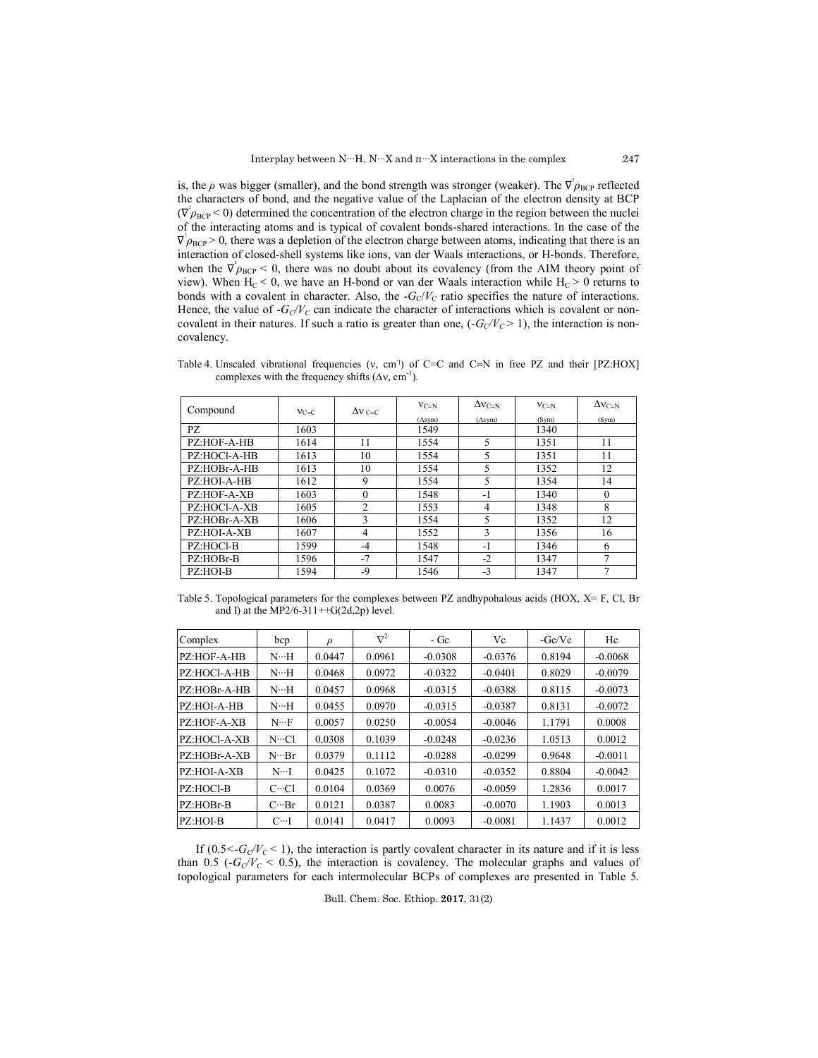is, the  $\rho$  was bigger (smaller), and the bond strength was stronger (weaker). The  $\nabla^2 \rho_{\rm BCP}$  reflected the characters of bond, and the negative value of the Laplacian of the electron density at BCP  $(\nabla^2 \rho_{\text{BCP}} < 0)$  determined the concentration of the electron charge in the region between the nuclei of the interacting atoms and is typical of covalent bonds-shared interactions. In the case of the  $\nabla^2 \rho_{\text{BCP}} > 0$ , there was a depletion of the electron charge between atoms, indicating that there is an interaction of closed-shell systems like ions, van der Waals interactions, or H-bonds. Therefore, when the  $\nabla^2 \rho_{\text{BCP}} < 0$ , there was no doubt about its covalency (from the AIM theory point of view). When  $H_C < 0$ , we have an H-bond or van der Waals interaction while  $H_C > 0$  returns to bonds with a covalent in character. Also, the  $-G<sub>C</sub>/V<sub>C</sub>$  ratio specifies the nature of interactions. Hence, the value of  $-G<sub>C</sub>/V<sub>C</sub>$  can indicate the character of interactions which is covalent or noncovalent in their natures. If such a ratio is greater than one,  $(-G_C/V_C > 1)$ , the interaction is noncovalency.

Table 4. Unscaled vibrational frequencies  $(v, cm<sup>T</sup>)$  of C=C and C=N in free PZ and their [PZ:HOX] complexes with the frequency shifts  $(\Delta v, \text{ cm}^{-1})$ .

| Compound     | $V = C$ | $\Delta v_{C=C}$ | $V_{C=N}$ | $\Delta v_{C=N}$ | $V_{C=N}$ | $\Delta v_{C=N}$ |
|--------------|---------|------------------|-----------|------------------|-----------|------------------|
|              |         |                  | (Asym)    | (Asym)           | (Sym)     | (Sym)            |
| PZ.          | 1603    |                  | 1549      |                  | 1340      |                  |
| PZ:HOF-A-HB  | 1614    | 11               | 1554      | 5                | 1351      | 11               |
| PZ:HOCl-A-HB | 1613    | 10               | 1554      | 5                | 1351      | 11               |
| PZ:HOBr-A-HB | 1613    | 10               | 1554      | 5                | 1352      | 12               |
| PZ:HOI-A-HB  | 1612    | 9                | 1554      | 5                | 1354      | 14               |
| PZ:HOF-A-XB  | 1603    | $\theta$         | 1548      | $-1$             | 1340      | $\Omega$         |
| PZ:HOCl-A-XB | 1605    | $\overline{2}$   | 1553      | 4                | 1348      | 8                |
| PZ:HOBr-A-XB | 1606    | 3                | 1554      | 5                | 1352      | 12               |
| PZ:HOI-A-XB  | 1607    | 4                | 1552      | 3                | 1356      | 16               |
| PZ:HOCl-B    | 1599    | -4               | 1548      | $-1$             | 1346      | 6                |
| PZ:HOBr-B    | 1596    | $-7$             | 1547      | $-2$             | 1347      | 7                |
| PZ:HOI-B     | 1594    | $-9$             | 1546      | $-3$             | 1347      |                  |

Table 5. Topological parameters for the complexes between PZ andhypohalous acids (HOX, X= F, Cl, Br and I) at the MP2/6-311++G(2d,2p) level.

| Complex      | bcp                      | $\rho$ | $\nabla^2$ | - Ge      | Vc        | $-Gc/Vc$ | Hc        |
|--------------|--------------------------|--------|------------|-----------|-----------|----------|-----------|
| PZ:HOF-A-HB  | $N \cdot \cdot H$        | 0.0447 | 0.0961     | $-0.0308$ | $-0.0376$ | 0.8194   | $-0.0068$ |
| PZ:HOCI-A-HB | $N \cdot \cdot H$        | 0.0468 | 0.0972     | $-0.0322$ | $-0.0401$ | 0.8029   | $-0.0079$ |
| PZ:HOBr-A-HB | $N \cdot \cdot \cdot H$  | 0.0457 | 0.0968     | $-0.0315$ | $-0.0388$ | 0.8115   | $-0.0073$ |
| PZ:HOI-A-HB  | $N \cdot \cdot H$        | 0.0455 | 0.0970     | $-0.0315$ | $-0.0387$ | 0.8131   | $-0.0072$ |
| PZ:HOF-A-XB  | $N \cdot \cdot F$        | 0.0057 | 0.0250     | $-0.0054$ | $-0.0046$ | 1.1791   | 0.0008    |
| PZ:HOCI-A-XB | N…Cl                     | 0.0308 | 0.1039     | $-0.0248$ | $-0.0236$ | 1.0513   | 0.0012    |
| PZ:HOBr-A-XB | $N \cdot \cdot$ Br       | 0.0379 | 0.1112     | $-0.0288$ | $-0.0299$ | 0.9648   | $-0.0011$ |
| PZ:HOI-A-XB  | $N\cdot\cdot\cdot I$     | 0.0425 | 0.1072     | $-0.0310$ | $-0.0352$ | 0.8804   | $-0.0042$ |
| PZ:HOCl-B    | $C \cdot \cdot \cdot C1$ | 0.0104 | 0.0369     | 0.0076    | $-0.0059$ | 1.2836   | 0.0017    |
| PZ:HOBr-B    | $C \cdots Br$            | 0.0121 | 0.0387     | 0.0083    | $-0.0070$ | 1.1903   | 0.0013    |
| PZ:HOI-B     | $C \cdot \cdot I$        | 0.0141 | 0.0417     | 0.0093    | $-0.0081$ | 1.1437   | 0.0012    |

If  $(0.5 < G<sub>C</sub>/V<sub>C</sub> < 1)$ , the interaction is partly covalent character in its nature and if it is less than 0.5 ( $-G<sub>C</sub>/V<sub>C</sub> < 0.5$ ), the interaction is covalency. The molecular graphs and values of topological parameters for each intermolecular BCPs of complexes are presented in Table 5.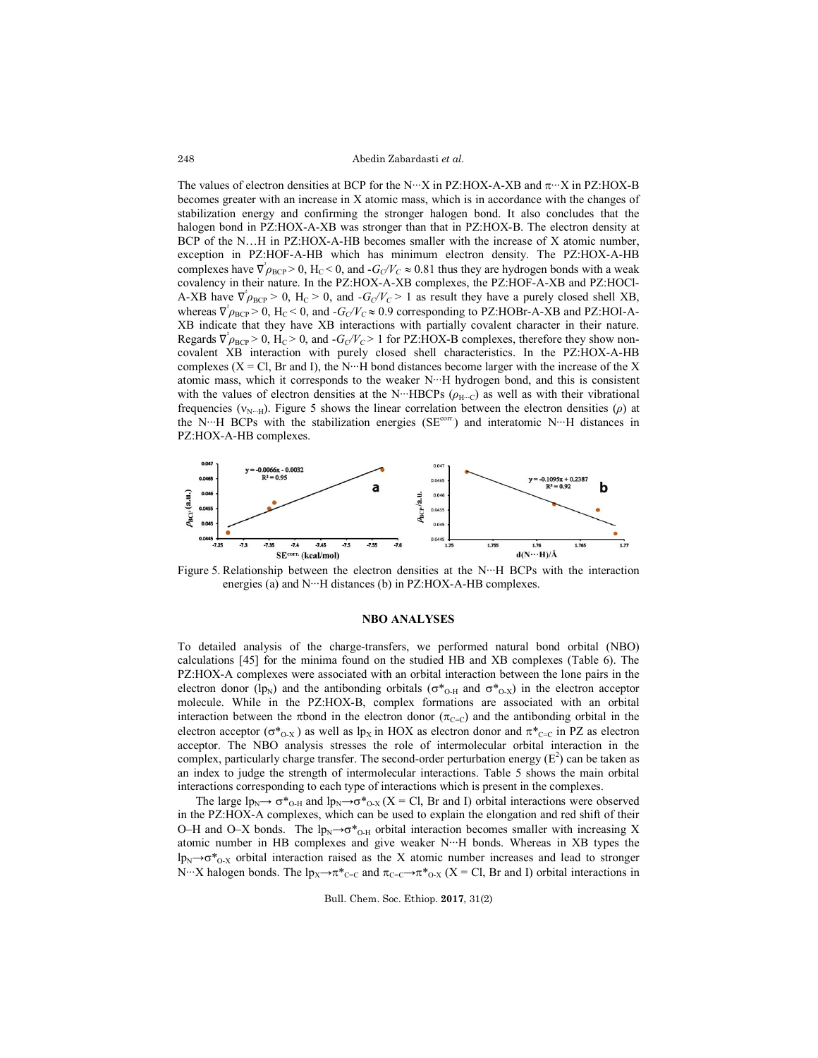#### Abedin Zabardasti *et al.*

The values of electron densities at BCP for the N⋅⋅⋅ X in PZ:HOX-A-XB and  $\pi$ ⋅⋅⋅ X in PZ:HOX-B becomes greater with an increase in X atomic mass, which is in accordance with the changes of stabilization energy and confirming the stronger halogen bond. It also concludes that the halogen bond in PZ:HOX-A-XB was stronger than that in PZ:HOX-B. The electron density at BCP of the N…H in PZ:HOX-A-HB becomes smaller with the increase of X atomic number, exception in PZ:HOF-A-HB which has minimum electron density. The PZ:HOX-A-HB complexes have  $\nabla^2 \rho_{BCP} > 0$ ,  $H_C < 0$ , and  $-G_C/V_C \approx 0.81$  thus they are hydrogen bonds with a weak covalency in their nature. In the PZ:HOX-A-XB complexes, the PZ:HOF-A-XB and PZ:HOCl-A-XB have  $\nabla^2 \rho_{\text{BCP}} > 0$ ,  $H_C > 0$ , and  $-G_C/V_C > 1$  as result they have a purely closed shell XB, whereas  $\nabla^2 \rho_{BCP} > 0$ ,  $H_C < 0$ , and  $-G_C/V_C \approx 0.9$  corresponding to PZ:HOBr-A-XB and PZ:HOI-A-XB indicate that they have XB interactions with partially covalent character in their nature. Regards  $\nabla^2 \rho_{BCP} > 0$ ,  $H_C > 0$ , and  $-G_C/V_C > 1$  for PZ:HOX-B complexes, therefore they show noncovalent XB interaction with purely closed shell characteristics. In the PZ:HOX-A-HB complexes (X = Cl, Br and I), the N⋅⋅⋅H bond distances become larger with the increase of the X atomic mass, which it corresponds to the weaker N∙∙∙H hydrogen bond, and this is consistent with the values of electron densities at the N⋅⋅⋅⋅HBCPs ( $ρ$ <sub>H⋅⋅⋅</sub>⋅) as well as with their vibrational frequencies (N∙∙∙H). Figure 5 shows the linear correlation between the electron densities (*ρ*) at the N…H BCPs with the stabilization energies (SE<sup>corr.</sup>) and interatomic N…H distances in PZ:HOX-A-HB complexes.



Figure 5. Relationship between the electron densities at the N∙∙∙H BCPs with the interaction energies (a) and N∙∙∙H distances (b) in PZ:HOX-A-HB complexes.

#### **NBO ANALYSES**

To detailed analysis of the charge-transfers, we performed natural bond orbital (NBO) calculations [45] for the minima found on the studied HB and XB complexes (Table 6). The PZ:HOX-A complexes were associated with an orbital interaction between the lone pairs in the electron donor (lp<sub>N</sub>) and the antibonding orbitals ( $\sigma^*_{O-H}$  and  $\sigma^*_{O-X}$ ) in the electron acceptor molecule. While in the PZ:HOX-B, complex formations are associated with an orbital interaction between the  $\pi$ bond in the electron donor ( $\pi_{C=C}$ ) and the antibonding orbital in the electron acceptor ( $\sigma^*_{O-X}$ ) as well as lp<sub>X</sub> in HOX as electron donor and  $\pi^*_{C=C}$  in PZ as electron acceptor. The NBO analysis stresses the role of intermolecular orbital interaction in the complex, particularly charge transfer. The second-order perturbation energy  $(E^2)$  can be taken as an index to judge the strength of intermolecular interactions. Table 5 shows the main orbital interactions corresponding to each type of interactions which is present in the complexes.

The large  $lp_N \rightarrow \sigma_{\text{O-H}}^*$  and  $lp_N \rightarrow \sigma_{\text{O-X}}^*$  (X = Cl, Br and I) orbital interactions were observed in the PZ:HOX-A complexes, which can be used to explain the elongation and red shift of their O–H and O–X bonds. The  $lp_N \rightarrow \sigma^*_{O-H}$  orbital interaction becomes smaller with increasing X atomic number in HB complexes and give weaker N∙∙∙H bonds. Whereas in XB types the lp<sub>N</sub> $\rightarrow$ o<sup>\*</sup><sub>O-X</sub> orbital interaction raised as the X atomic number increases and lead to stronger N⋅⋅⋅⋅X halogen bonds. The lp<sub>X</sub>→ $\pi$ <sup>\*</sup><sub>C=C</sub> and  $\pi$ <sub>C=C</sub>→ $\pi$ <sup>\*</sup><sub>O-X</sub> (X = Cl, Br and I) orbital interactions in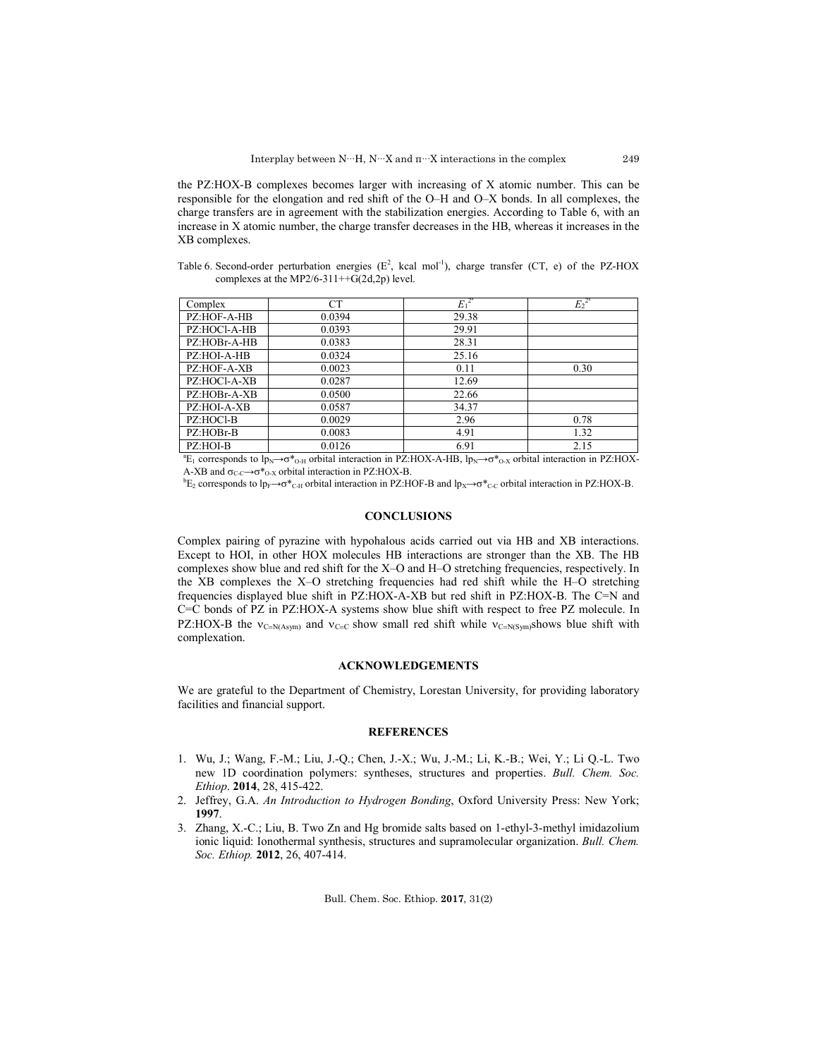the PZ:HOX-B complexes becomes larger with increasing of X atomic number. This can be responsible for the elongation and red shift of the O–H and O–X bonds. In all complexes, the charge transfers are in agreement with the stabilization energies. According to Table 6, with an increase in X atomic number, the charge transfer decreases in the HB, whereas it increases in the XB complexes.

Table 6. Second-order perturbation energies  $(E^2$ , kcal mol<sup>-1</sup>), charge transfer (CT, e) of the PZ-HOX complexes at the MP2/6-311++ $G(2d,2p)$  level.

| Complex      | <b>CT</b> | $E_1^2$ | $E_2^{2^b}$ |
|--------------|-----------|---------|-------------|
| PZ:HOF-A-HB  | 0.0394    | 29.38   |             |
| PZ:HOCl-A-HB | 0.0393    | 29.91   |             |
| PZ:HOBr-A-HB | 0.0383    | 28.31   |             |
| PZ:HOI-A-HB  | 0.0324    | 25.16   |             |
| PZ:HOF-A-XB  | 0.0023    | 0.11    | 0.30        |
| PZ:HOCl-A-XB | 0.0287    | 12.69   |             |
| PZ:HOBr-A-XB | 0.0500    | 22.66   |             |
| PZ:HOI-A-XB  | 0.0587    | 34.37   |             |
| PZ:HOCl-B    | 0.0029    | 2.96    | 0.78        |
| PZ:HOBr-B    | 0.0083    | 4.91    | 1.32        |
| PZ:HOI-B     | 0.0126    | 6.91    | 2.15        |

 ${}^{a}E_{1}$  corresponds to lp<sub>N</sub>→ $\sigma$ <sup>\*</sup><sub>O-H</sub> orbital interaction in PZ:HOX-A-HB, lp<sub>N</sub>→ $\sigma$ <sup>\*</sup><sub>O-X</sub> orbital interaction in PZ:HOX-A-XB and  $\sigma_{C-C} \rightarrow \sigma_{O-X}^*$  orbital interaction in PZ:HOX-B.

 ${}^bE_2$  corresponds to lp<sub>F</sub>→ $\sigma^*_{\text{C-H}}$  orbital interaction in PZ:HOF-B and lp<sub>X</sub>→ $\sigma^*_{\text{C-C}}$  orbital interaction in PZ:HOX-B.

### **CONCLUSIONS**

Complex pairing of pyrazine with hypohalous acids carried out via HB and XB interactions. Except to HOI, in other HOX molecules HB interactions are stronger than the XB. The HB complexes show blue and red shift for the X–O and H–O stretching frequencies, respectively. In the XB complexes the X–O stretching frequencies had red shift while the H–O stretching frequencies displayed blue shift in PZ:HOX-A-XB but red shift in PZ:HOX-B. The C=N and C=C bonds of PZ in PZ:HOX-A systems show blue shift with respect to free PZ molecule. In PZ:HOX-B the  $v_{C=N(Asym)}$  and  $v_{C=C}$  show small red shift while  $v_{C=N(Sym)}$ shows blue shift with complexation.

## **ACKNOWLEDGEMENTS**

We are grateful to the Department of Chemistry, Lorestan University, for providing laboratory facilities and financial support.

### **REFERENCES**

- 1. Wu, J.; Wang, F.-M.; Liu, J.-Q.; Chen, J.-X.; Wu, J.-M.; Li, K.-B.; Wei, Y.; Li Q.-L. Two new 1D coordination polymers: syntheses, structures and properties. *Bull. Chem. Soc. Ethiop*. **2014**, 28, 415-422.
- 2. Jeffrey, G.A. *An Introduction to Hydrogen Bonding*, Oxford University Press: New York; **1997**.
- 3. Zhang, X.-C.; Liu, B. Two Zn and Hg bromide salts based on 1-ethyl-3-methyl imidazolium ionic liquid: Ionothermal synthesis, structures and supramolecular organization. *Bull. Chem. Soc. Ethiop.* **2012**, 26, 407-414.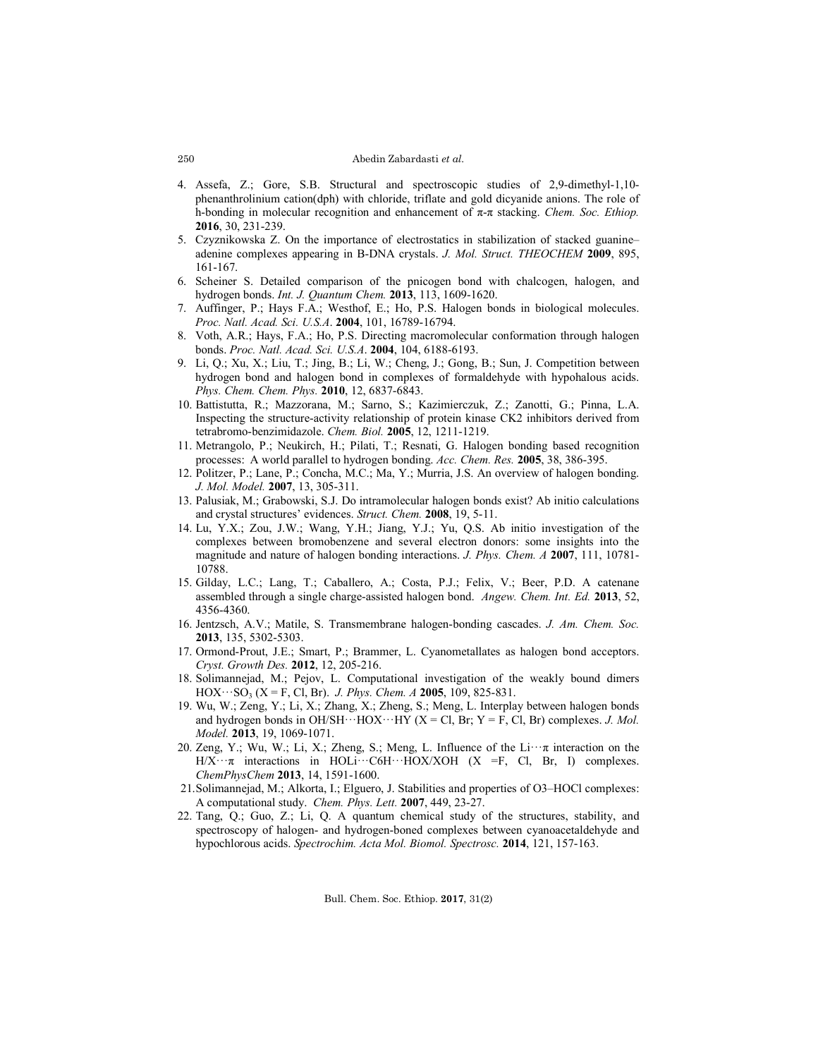### Abedin Zabardasti *et al.*

- 4. Assefa, Z.; Gore, S.B. Structural and spectroscopic studies of 2,9-dimethyl-1,10 phenanthrolinium cation(dph) with chloride, triflate and gold dicyanide anions. The role of h-bonding in molecular recognition and enhancement of π-π stacking. *Chem. Soc. Ethiop.* **2016**, 30, 231-239.
- 5. Czyznikowska Z. On the importance of electrostatics in stabilization of stacked guanine– adenine complexes appearing in B-DNA crystals. *J. Mol. Struct. THEOCHEM* **2009**, 895, 161-167.
- 6. Scheiner S. Detailed comparison of the pnicogen bond with chalcogen, halogen, and hydrogen bonds. *Int. J. Quantum Chem.* **2013**, 113, 1609-1620.
- 7. Auffinger, P.; Hays F.A.; Westhof, E.; Ho, P.S. Halogen bonds in biological molecules. *Proc. Natl. Acad. Sci. U.S.A*. **2004**, 101, 16789-16794.
- 8. Voth, A.R.; Hays, F.A.; Ho, P.S. Directing macromolecular conformation through halogen bonds. *Proc. Natl. Acad. Sci. U.S.A*. **2004**, 104, 6188-6193.
- 9. Li, Q.; Xu, X.; Liu, T.; Jing, B.; Li, W.; Cheng, J.; Gong, B.; Sun, J. Competition between hydrogen bond and halogen bond in complexes of formaldehyde with hypohalous acids. *Phys. Chem. Chem. Phys.* **2010**, 12, 6837-6843.
- 10. Battistutta, R.; Mazzorana, M.; Sarno, S.; Kazimierczuk, Z.; Zanotti, G.; Pinna, L.A. Inspecting the structure-activity relationship of protein kinase CK2 inhibitors derived from tetrabromo-benzimidazole. *Chem. Biol.* **2005**, 12, 1211-1219.
- 11. Metrangolo, P.; Neukirch, H.; Pilati, T.; Resnati, G. Halogen bonding based recognition processes: A world parallel to hydrogen bonding. *Acc. Chem. Res.* **2005**, 38, 386-395.
- 12. Politzer, P.; Lane, P.; Concha, M.C.; Ma, Y.; Murria, J.S. An overview of halogen bonding. *J. Mol. Model.* **2007**, 13, 305-311.
- 13. Palusiak, M.; Grabowski, S.J. Do intramolecular halogen bonds exist? Ab initio calculations and crystal structures' evidences. *Struct. Chem.* **2008**, 19, 5-11.
- 14. Lu, Y.X.; Zou, J.W.; Wang, Y.H.; Jiang, Y.J.; Yu, Q.S. Ab initio investigation of the complexes between bromobenzene and several electron donors: some insights into the magnitude and nature of halogen bonding interactions. *J. Phys. Chem. A* **2007**, 111, 10781- 10788.
- 15. Gilday, L.C.; Lang, T.; Caballero, A.; Costa, P.J.; Felix, V.; Beer, P.D. A catenane assembled through a single charge-assisted halogen bond. *Angew. Chem. Int. Ed.* **2013**, 52, 4356-4360.
- 16. Jentzsch, A.V.; Matile, S. Transmembrane halogen-bonding cascades. *J. Am. Chem. Soc.* **2013**, 135, 5302-5303.
- 17. Ormond-Prout, J.E.; Smart, P.; Brammer, L. Cyanometallates as halogen bond acceptors. *Cryst. Growth Des.* **2012**, 12, 205-216.
- 18. Solimannejad, M.; Pejov, L. Computational investigation of the weakly bound dimers  $HOX \cdots SO_3 (X = F, Cl, Br)$ . *J. Phys. Chem. A* **2005**, 109, 825-831.
- 19. Wu, W.; Zeng, Y.; Li, X.; Zhang, X.; Zheng, S.; Meng, L. Interplay between halogen bonds and hydrogen bonds in  $OH/SH \cdots HOX \cdots HY$  (X = Cl, Br; Y = F, Cl, Br) complexes. *J. Mol. Model.* **2013**, 19, 1069-1071.
- 20. Zeng, Y.; Wu, W.; Li, X.; Zheng, S.; Meng, L. Influence of the  $Li\cdots\pi$  interaction on the  $H/X \cdot \pi$  interactions in HOLi···C6H···HOX/XOH (X =F, Cl, Br, I) complexes. *ChemPhysChem* **2013**, 14, 1591-1600.
- 21.Solimannejad, M.; Alkorta, I.; Elguero, J. Stabilities and properties of O3–HOCl complexes: A computational study. *Chem. Phys. Lett.* **2007**, 449, 23-27.
- 22. Tang, Q.; Guo, Z.; Li, Q. A quantum chemical study of the structures, stability, and spectroscopy of halogen- and hydrogen-boned complexes between cyanoacetaldehyde and hypochlorous acids. *Spectrochim. Acta Mol. Biomol. Spectrosc.* **2014**, 121, 157-163.

Bull. Chem. Soc. Ethiop. **2017**, 31(2)

250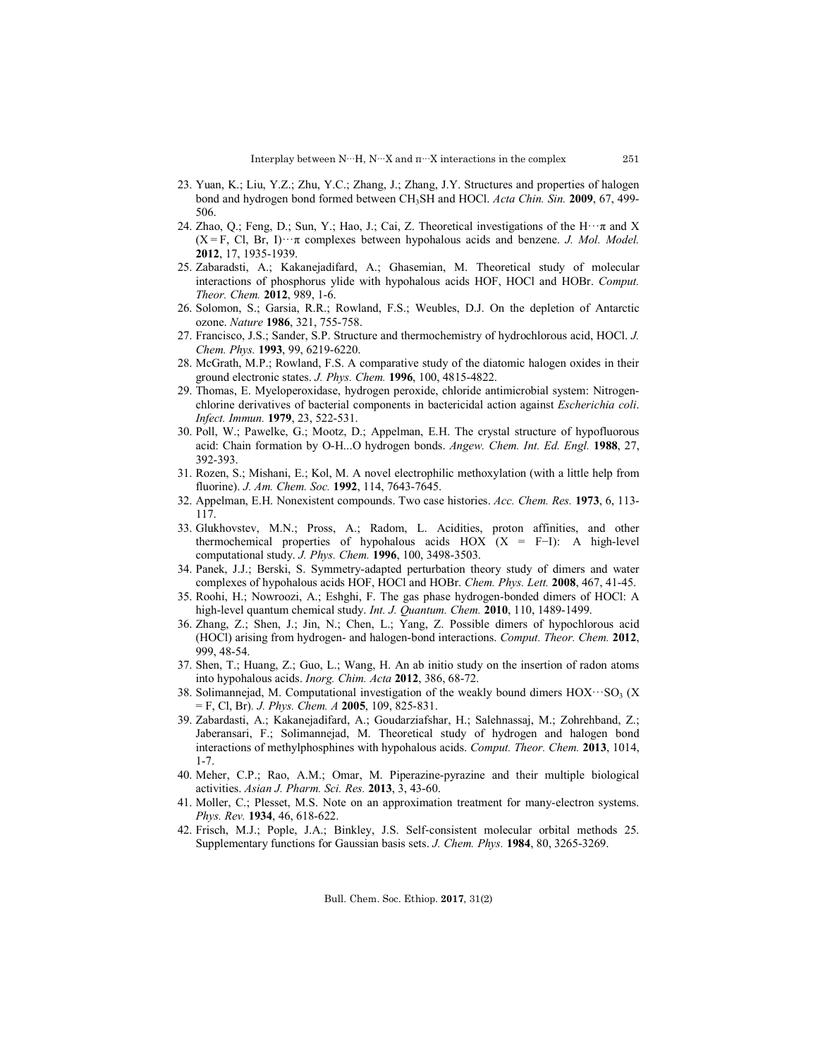- 23. Yuan, K.; Liu, Y.Z.; Zhu, Y.C.; Zhang, J.; Zhang, J.Y. Structures and properties of halogen bond and hydrogen bond formed between CH3SH and HOCl. *Acta Chin. Sin.* **2009**, 67, 499- 506.
- 24. Zhao, Q.; Feng, D.; Sun, Y.; Hao, J.; Cai, Z. Theoretical investigations of the H···π and X  $(X = F, C, Br, I) \cdot \cdot \pi$  complexes between hypohalous acids and benzene. *J. Mol. Model.* **2012**, 17, 1935-1939.
- 25. Zabaradsti, A.; Kakanejadifard, A.; Ghasemian, M. Theoretical study of molecular interactions of phosphorus ylide with hypohalous acids HOF, HOCl and HOBr. *Comput. Theor. Chem.* **2012**, 989, 1-6.
- 26. Solomon, S.; Garsia, R.R.; Rowland, F.S.; Weubles, D.J. On the depletion of Antarctic ozone. *Nature* **1986**, 321, 755-758.
- 27. Francisco, J.S.; Sander, S.P. Structure and thermochemistry of hydrochlorous acid, HOCl. *J. Chem. Phys.* **1993**, 99, 6219-6220.
- 28. McGrath, M.P.; Rowland, F.S. A comparative study of the diatomic halogen oxides in their ground electronic states. *J. Phys. Chem.* **1996**, 100, 4815-4822.
- 29. Thomas, E. Myeloperoxidase, hydrogen peroxide, chloride antimicrobial system: Nitrogenchlorine derivatives of bacterial components in bactericidal action against *Escherichia coli*. *Infect. Immun.* **1979**, 23, 522-531.
- 30. Poll, W.; Pawelke, G.; Mootz, D.; Appelman, E.H. The crystal structure of hypofluorous acid: Chain formation by O-H...O hydrogen bonds. *Angew. Chem. Int. Ed. Engl.* **1988**, 27, 392-393.
- 31. Rozen, S.; Mishani, E.; Kol, M. A novel electrophilic methoxylation (with a little help from fluorine). *J. Am. Chem. Soc.* **1992**, 114, 7643-7645.
- 32. Appelman, E.H. Nonexistent compounds. Two case histories. *Acc. Chem. Res.* **1973**, 6, 113- 117.
- 33. Glukhovstev, M.N.; Pross, A.; Radom, L. Acidities, proton affinities, and other thermochemical properties of hypohalous acids HOX (X = F−I): A high-level computational study. *J. Phys. Chem.* **1996**, 100, 3498-3503.
- 34. Panek, J.J.; Berski, S. Symmetry-adapted perturbation theory study of dimers and water complexes of hypohalous acids HOF, HOCl and HOBr. *Chem. Phys. Lett.* **2008**, 467, 41-45.
- 35. Roohi, H.; Nowroozi, A.; Eshghi, F. The gas phase hydrogen-bonded dimers of HOCl: A high-level quantum chemical study. *Int. J. Quantum. Chem.* **2010**, 110, 1489-1499.
- 36. Zhang, Z.; Shen, J.; Jin, N.; Chen, L.; Yang, Z. Possible dimers of hypochlorous acid (HOCl) arising from hydrogen- and halogen-bond interactions. *Comput. Theor. Chem.* **2012**, 999, 48-54.
- 37. Shen, T.; Huang, Z.; Guo, L.; Wang, H. An ab initio study on the insertion of radon atoms into hypohalous acids. *Inorg. Chim. Acta* **2012**, 386, 68-72.
- 38. Solimannejad, M. Computational investigation of the weakly bound dimers  $HOX \cdots SO<sub>3</sub>(X)$ = F, Cl, Br)*. J. Phys. Chem. A* **2005**, 109, 825-831.
- 39. Zabardasti, A.; Kakanejadifard, A.; Goudarziafshar, H.; Salehnassaj, M.; Zohrehband, Z.; Jaberansari, F.; Solimannejad, M. Theoretical study of hydrogen and halogen bond interactions of methylphosphines with hypohalous acids. *Comput. Theor. Chem.* **2013**, 1014, 1-7.
- 40. Meher, C.P.; Rao, A.M.; Omar, M. Piperazine-pyrazine and their multiple biological activities. *Asian J. Pharm. Sci. Res.* **2013**, 3, 43-60.
- 41. Moller, C.; Plesset, M.S. Note on an approximation treatment for many-electron systems. *Phys. Rev.* **1934**, 46, 618-622.
- 42. Frisch, M.J.; Pople, J.A.; Binkley, J.S. Self‐consistent molecular orbital methods 25. Supplementary functions for Gaussian basis sets. *J. Chem. Phys.* **1984**, 80, 3265-3269.